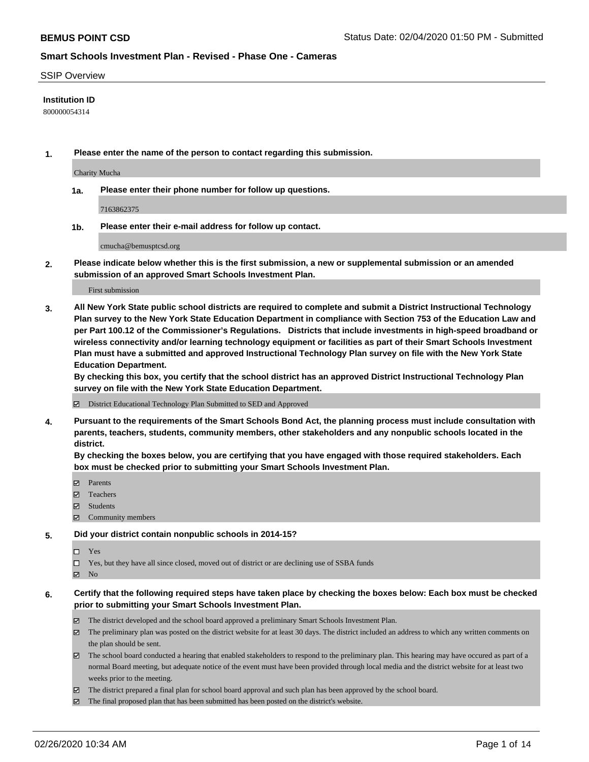#### SSIP Overview

### **Institution ID**

800000054314

**1. Please enter the name of the person to contact regarding this submission.**

Charity Mucha

**1a. Please enter their phone number for follow up questions.**

7163862375

**1b. Please enter their e-mail address for follow up contact.**

cmucha@bemusptcsd.org

**2. Please indicate below whether this is the first submission, a new or supplemental submission or an amended submission of an approved Smart Schools Investment Plan.**

#### First submission

**3. All New York State public school districts are required to complete and submit a District Instructional Technology Plan survey to the New York State Education Department in compliance with Section 753 of the Education Law and per Part 100.12 of the Commissioner's Regulations. Districts that include investments in high-speed broadband or wireless connectivity and/or learning technology equipment or facilities as part of their Smart Schools Investment Plan must have a submitted and approved Instructional Technology Plan survey on file with the New York State Education Department.** 

**By checking this box, you certify that the school district has an approved District Instructional Technology Plan survey on file with the New York State Education Department.**

District Educational Technology Plan Submitted to SED and Approved

**4. Pursuant to the requirements of the Smart Schools Bond Act, the planning process must include consultation with parents, teachers, students, community members, other stakeholders and any nonpublic schools located in the district.** 

**By checking the boxes below, you are certifying that you have engaged with those required stakeholders. Each box must be checked prior to submitting your Smart Schools Investment Plan.**

- **マ** Parents
- Teachers
- Students
- Community members

#### **5. Did your district contain nonpublic schools in 2014-15?**

 $\neg$  Yes

Yes, but they have all since closed, moved out of district or are declining use of SSBA funds

**Z** No

### **6. Certify that the following required steps have taken place by checking the boxes below: Each box must be checked prior to submitting your Smart Schools Investment Plan.**

- The district developed and the school board approved a preliminary Smart Schools Investment Plan.
- $\boxtimes$  The preliminary plan was posted on the district website for at least 30 days. The district included an address to which any written comments on the plan should be sent.
- $\boxtimes$  The school board conducted a hearing that enabled stakeholders to respond to the preliminary plan. This hearing may have occured as part of a normal Board meeting, but adequate notice of the event must have been provided through local media and the district website for at least two weeks prior to the meeting.
- The district prepared a final plan for school board approval and such plan has been approved by the school board.
- $\boxtimes$  The final proposed plan that has been submitted has been posted on the district's website.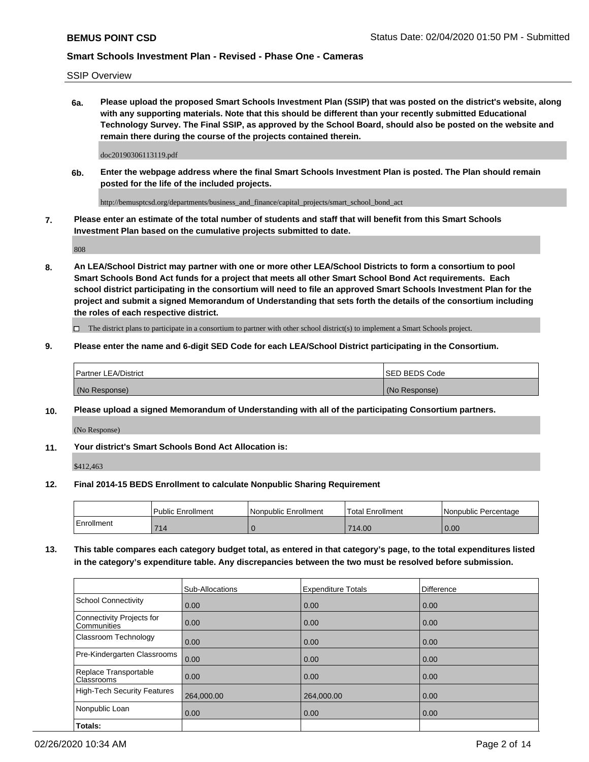SSIP Overview

**6a. Please upload the proposed Smart Schools Investment Plan (SSIP) that was posted on the district's website, along with any supporting materials. Note that this should be different than your recently submitted Educational Technology Survey. The Final SSIP, as approved by the School Board, should also be posted on the website and remain there during the course of the projects contained therein.**

doc20190306113119.pdf

**6b. Enter the webpage address where the final Smart Schools Investment Plan is posted. The Plan should remain posted for the life of the included projects.**

http://bemusptcsd.org/departments/business\_and\_finance/capital\_projects/smart\_school\_bond\_act

**7. Please enter an estimate of the total number of students and staff that will benefit from this Smart Schools Investment Plan based on the cumulative projects submitted to date.**

808

**8. An LEA/School District may partner with one or more other LEA/School Districts to form a consortium to pool Smart Schools Bond Act funds for a project that meets all other Smart School Bond Act requirements. Each school district participating in the consortium will need to file an approved Smart Schools Investment Plan for the project and submit a signed Memorandum of Understanding that sets forth the details of the consortium including the roles of each respective district.**

 $\Box$  The district plans to participate in a consortium to partner with other school district(s) to implement a Smart Schools project.

### **9. Please enter the name and 6-digit SED Code for each LEA/School District participating in the Consortium.**

| Partner LEA/District | <b>ISED BEDS Code</b> |
|----------------------|-----------------------|
| (No Response)        | (No Response)         |

### **10. Please upload a signed Memorandum of Understanding with all of the participating Consortium partners.**

(No Response)

**11. Your district's Smart Schools Bond Act Allocation is:**

\$412,463

#### **12. Final 2014-15 BEDS Enrollment to calculate Nonpublic Sharing Requirement**

|            | Public Enrollment | Nonpublic Enrollment | Total Enrollment | Nonpublic Percentage |
|------------|-------------------|----------------------|------------------|----------------------|
| Enrollment | 714               |                      | 714.00           | 0.00                 |

**13. This table compares each category budget total, as entered in that category's page, to the total expenditures listed in the category's expenditure table. Any discrepancies between the two must be resolved before submission.**

|                                          | Sub-Allocations | <b>Expenditure Totals</b> | <b>Difference</b> |
|------------------------------------------|-----------------|---------------------------|-------------------|
| <b>School Connectivity</b>               | 0.00            | 0.00                      | 0.00              |
| Connectivity Projects for<br>Communities | 0.00            | 0.00                      | 0.00              |
| Classroom Technology                     | 0.00            | 0.00                      | 0.00              |
| Pre-Kindergarten Classrooms              | 0.00            | 0.00                      | 0.00              |
| Replace Transportable<br>Classrooms      | 0.00            | 0.00                      | 0.00              |
| High-Tech Security Features              | 264,000.00      | 264,000.00                | 0.00              |
| Nonpublic Loan                           | 0.00            | 0.00                      | 0.00              |
| Totals:                                  |                 |                           |                   |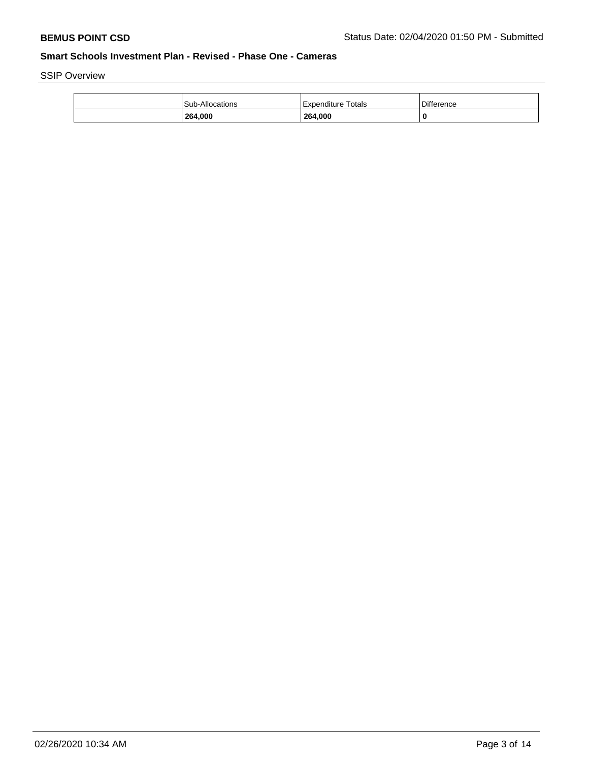SSIP Overview

| 264,000         | 264,000               |                   |
|-----------------|-----------------------|-------------------|
| Sub-Allocations | Totals<br>Expenditure | <b>Difference</b> |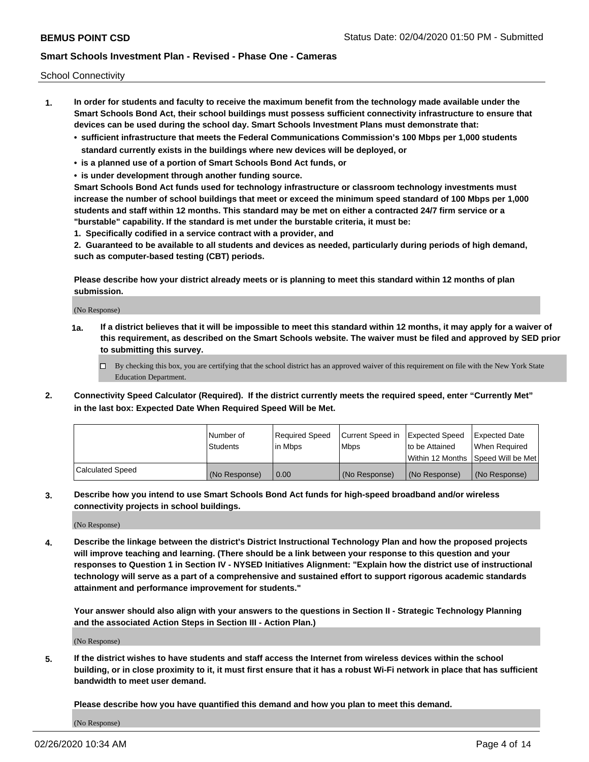School Connectivity

- **1. In order for students and faculty to receive the maximum benefit from the technology made available under the Smart Schools Bond Act, their school buildings must possess sufficient connectivity infrastructure to ensure that devices can be used during the school day. Smart Schools Investment Plans must demonstrate that:**
	- **• sufficient infrastructure that meets the Federal Communications Commission's 100 Mbps per 1,000 students standard currently exists in the buildings where new devices will be deployed, or**
	- **• is a planned use of a portion of Smart Schools Bond Act funds, or**
	- **• is under development through another funding source.**

**Smart Schools Bond Act funds used for technology infrastructure or classroom technology investments must increase the number of school buildings that meet or exceed the minimum speed standard of 100 Mbps per 1,000 students and staff within 12 months. This standard may be met on either a contracted 24/7 firm service or a "burstable" capability. If the standard is met under the burstable criteria, it must be:**

**1. Specifically codified in a service contract with a provider, and**

**2. Guaranteed to be available to all students and devices as needed, particularly during periods of high demand, such as computer-based testing (CBT) periods.**

**Please describe how your district already meets or is planning to meet this standard within 12 months of plan submission.**

(No Response)

**1a. If a district believes that it will be impossible to meet this standard within 12 months, it may apply for a waiver of this requirement, as described on the Smart Schools website. The waiver must be filed and approved by SED prior to submitting this survey.**

 $\Box$  By checking this box, you are certifying that the school district has an approved waiver of this requirement on file with the New York State Education Department.

**2. Connectivity Speed Calculator (Required). If the district currently meets the required speed, enter "Currently Met" in the last box: Expected Date When Required Speed Will be Met.**

|                  | l Number of     | Required Speed | Current Speed in | Expected Speed  | Expected Date                           |
|------------------|-----------------|----------------|------------------|-----------------|-----------------------------------------|
|                  | <b>Students</b> | In Mbps        | l Mbps           | to be Attained  | When Required                           |
|                  |                 |                |                  |                 | l Within 12 Months ISpeed Will be Met l |
| Calculated Speed | (No Response)   | 0.00           | (No Response)    | l (No Response) | l (No Response)                         |

**3. Describe how you intend to use Smart Schools Bond Act funds for high-speed broadband and/or wireless connectivity projects in school buildings.**

(No Response)

**4. Describe the linkage between the district's District Instructional Technology Plan and how the proposed projects will improve teaching and learning. (There should be a link between your response to this question and your responses to Question 1 in Section IV - NYSED Initiatives Alignment: "Explain how the district use of instructional technology will serve as a part of a comprehensive and sustained effort to support rigorous academic standards attainment and performance improvement for students."** 

**Your answer should also align with your answers to the questions in Section II - Strategic Technology Planning and the associated Action Steps in Section III - Action Plan.)**

(No Response)

**5. If the district wishes to have students and staff access the Internet from wireless devices within the school building, or in close proximity to it, it must first ensure that it has a robust Wi-Fi network in place that has sufficient bandwidth to meet user demand.**

**Please describe how you have quantified this demand and how you plan to meet this demand.**

(No Response)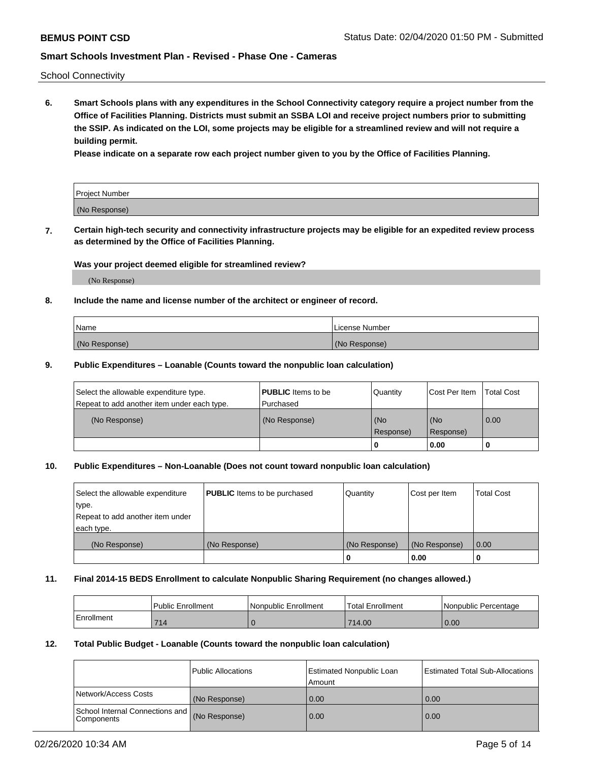School Connectivity

**6. Smart Schools plans with any expenditures in the School Connectivity category require a project number from the Office of Facilities Planning. Districts must submit an SSBA LOI and receive project numbers prior to submitting the SSIP. As indicated on the LOI, some projects may be eligible for a streamlined review and will not require a building permit.**

**Please indicate on a separate row each project number given to you by the Office of Facilities Planning.**

| Project Number |  |
|----------------|--|
| (No Response)  |  |

**7. Certain high-tech security and connectivity infrastructure projects may be eligible for an expedited review process as determined by the Office of Facilities Planning.**

### **Was your project deemed eligible for streamlined review?**

(No Response)

### **8. Include the name and license number of the architect or engineer of record.**

| Name          | License Number |
|---------------|----------------|
| (No Response) | (No Response)  |

### **9. Public Expenditures – Loanable (Counts toward the nonpublic loan calculation)**

| Select the allowable expenditure type.<br>Repeat to add another item under each type. | <b>PUBLIC</b> Items to be<br>l Purchased | Quantity           | Cost Per Item    | <b>Total Cost</b> |
|---------------------------------------------------------------------------------------|------------------------------------------|--------------------|------------------|-------------------|
| (No Response)                                                                         | (No Response)                            | l (No<br>Response) | (No<br>Response) | $\overline{0.00}$ |
|                                                                                       |                                          | 0                  | 0.00             |                   |

### **10. Public Expenditures – Non-Loanable (Does not count toward nonpublic loan calculation)**

| Select the allowable expenditure | <b>PUBLIC</b> Items to be purchased | Quantity      | Cost per Item | <b>Total Cost</b> |
|----------------------------------|-------------------------------------|---------------|---------------|-------------------|
| type.                            |                                     |               |               |                   |
| Repeat to add another item under |                                     |               |               |                   |
| each type.                       |                                     |               |               |                   |
| (No Response)                    | (No Response)                       | (No Response) | (No Response) | 0.00              |
|                                  |                                     |               | 0.00          |                   |

#### **11. Final 2014-15 BEDS Enrollment to calculate Nonpublic Sharing Requirement (no changes allowed.)**

|            | Public Enrollment | Nonpublic Enrollment | 'Total Enrollment | l Nonpublic Percentage |
|------------|-------------------|----------------------|-------------------|------------------------|
| Enrollment | 714               |                      | 714.00            | 0.00                   |

#### **12. Total Public Budget - Loanable (Counts toward the nonpublic loan calculation)**

|                                                      | Public Allocations | <b>Estimated Nonpublic Loan</b><br>Amount | Estimated Total Sub-Allocations |
|------------------------------------------------------|--------------------|-------------------------------------------|---------------------------------|
| Network/Access Costs                                 | (No Response)      | 0.00                                      | 0.00                            |
| School Internal Connections and<br><b>Components</b> | (No Response)      | 0.00                                      | 0.00                            |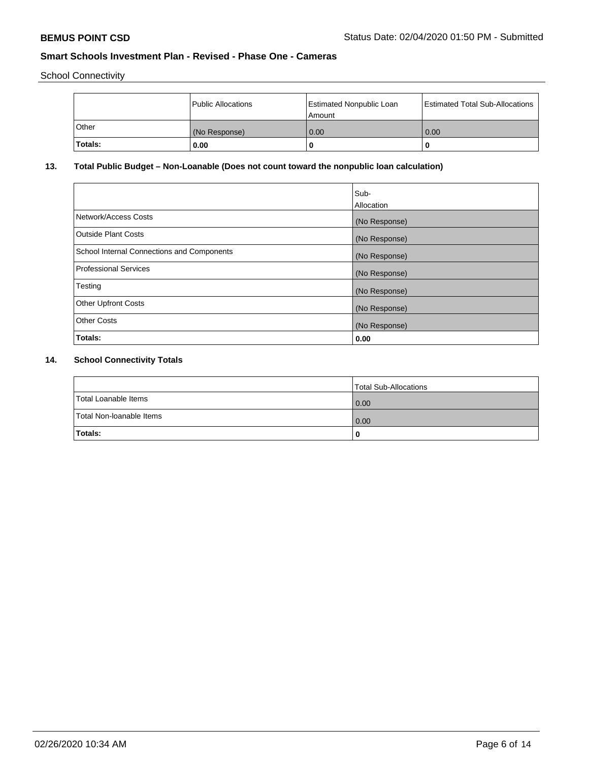School Connectivity

|         | Public Allocations | <b>Estimated Nonpublic Loan</b><br>l Amount | <b>Estimated Total Sub-Allocations  </b> |
|---------|--------------------|---------------------------------------------|------------------------------------------|
| Other   | (No Response)      | 0.00                                        | 0.00                                     |
| Totals: | 0.00               | 0                                           |                                          |

# **13. Total Public Budget – Non-Loanable (Does not count toward the nonpublic loan calculation)**

| Sub-<br>Allocation |
|--------------------|
| (No Response)      |
| (No Response)      |
| (No Response)      |
| (No Response)      |
| (No Response)      |
| (No Response)      |
| (No Response)      |
| 0.00               |
|                    |

# **14. School Connectivity Totals**

|                          | Total Sub-Allocations |
|--------------------------|-----------------------|
| Total Loanable Items     | 0.00                  |
| Total Non-Ioanable Items | 0.00                  |
| Totals:                  | 0                     |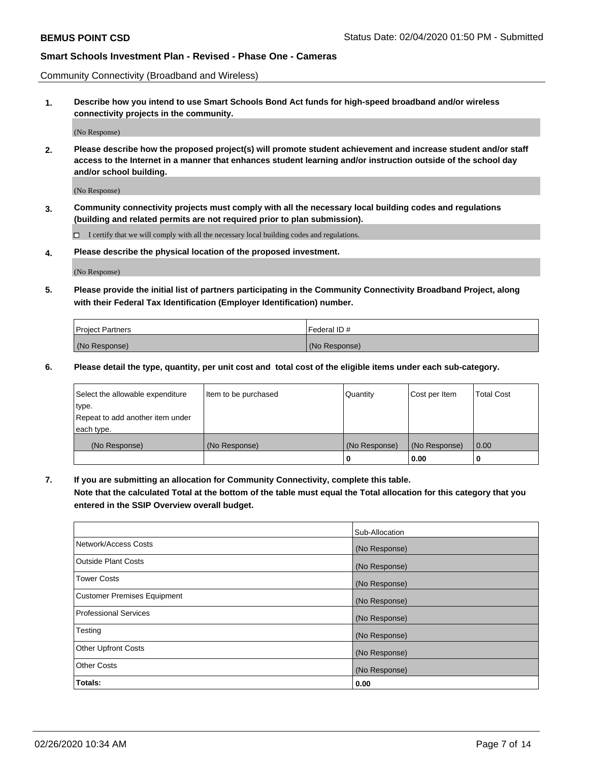Community Connectivity (Broadband and Wireless)

**1. Describe how you intend to use Smart Schools Bond Act funds for high-speed broadband and/or wireless connectivity projects in the community.**

(No Response)

**2. Please describe how the proposed project(s) will promote student achievement and increase student and/or staff access to the Internet in a manner that enhances student learning and/or instruction outside of the school day and/or school building.**

(No Response)

**3. Community connectivity projects must comply with all the necessary local building codes and regulations (building and related permits are not required prior to plan submission).**

 $\Box$  I certify that we will comply with all the necessary local building codes and regulations.

**4. Please describe the physical location of the proposed investment.**

(No Response)

**5. Please provide the initial list of partners participating in the Community Connectivity Broadband Project, along with their Federal Tax Identification (Employer Identification) number.**

| <b>Project Partners</b> | l Federal ID # |
|-------------------------|----------------|
| (No Response)           | (No Response)  |

**6. Please detail the type, quantity, per unit cost and total cost of the eligible items under each sub-category.**

| Select the allowable expenditure | Item to be purchased | Quantity      | Cost per Item | <b>Total Cost</b> |
|----------------------------------|----------------------|---------------|---------------|-------------------|
| type.                            |                      |               |               |                   |
| Repeat to add another item under |                      |               |               |                   |
| each type.                       |                      |               |               |                   |
| (No Response)                    | (No Response)        | (No Response) | (No Response) | 0.00              |
|                                  |                      | o             | 0.00          |                   |

**7. If you are submitting an allocation for Community Connectivity, complete this table.**

**Note that the calculated Total at the bottom of the table must equal the Total allocation for this category that you entered in the SSIP Overview overall budget.**

|                                    | Sub-Allocation |
|------------------------------------|----------------|
| Network/Access Costs               | (No Response)  |
| Outside Plant Costs                | (No Response)  |
| <b>Tower Costs</b>                 | (No Response)  |
| <b>Customer Premises Equipment</b> | (No Response)  |
| <b>Professional Services</b>       | (No Response)  |
| Testing                            | (No Response)  |
| <b>Other Upfront Costs</b>         | (No Response)  |
| <b>Other Costs</b>                 | (No Response)  |
| Totals:                            | 0.00           |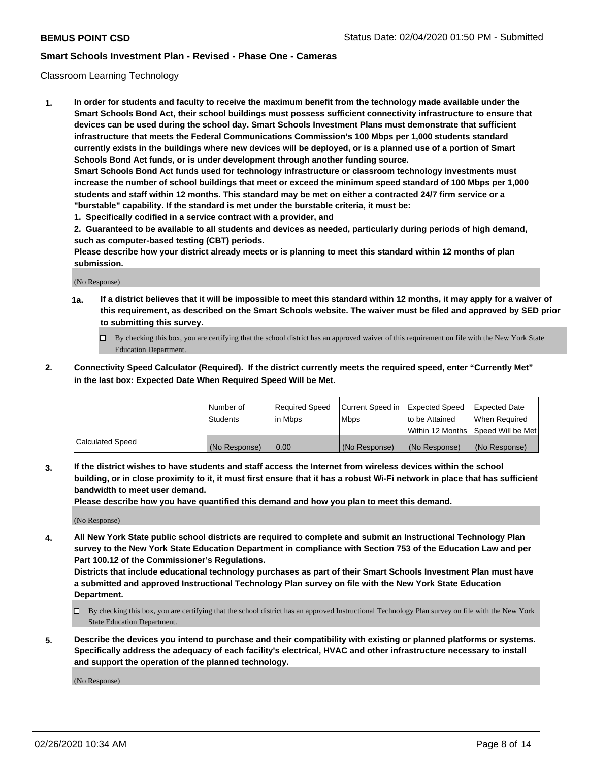### Classroom Learning Technology

**1. In order for students and faculty to receive the maximum benefit from the technology made available under the Smart Schools Bond Act, their school buildings must possess sufficient connectivity infrastructure to ensure that devices can be used during the school day. Smart Schools Investment Plans must demonstrate that sufficient infrastructure that meets the Federal Communications Commission's 100 Mbps per 1,000 students standard currently exists in the buildings where new devices will be deployed, or is a planned use of a portion of Smart Schools Bond Act funds, or is under development through another funding source. Smart Schools Bond Act funds used for technology infrastructure or classroom technology investments must increase the number of school buildings that meet or exceed the minimum speed standard of 100 Mbps per 1,000 students and staff within 12 months. This standard may be met on either a contracted 24/7 firm service or a "burstable" capability. If the standard is met under the burstable criteria, it must be:**

**1. Specifically codified in a service contract with a provider, and**

**2. Guaranteed to be available to all students and devices as needed, particularly during periods of high demand, such as computer-based testing (CBT) periods.**

**Please describe how your district already meets or is planning to meet this standard within 12 months of plan submission.**

(No Response)

- **1a. If a district believes that it will be impossible to meet this standard within 12 months, it may apply for a waiver of this requirement, as described on the Smart Schools website. The waiver must be filed and approved by SED prior to submitting this survey.**
	- By checking this box, you are certifying that the school district has an approved waiver of this requirement on file with the New York State Education Department.
- **2. Connectivity Speed Calculator (Required). If the district currently meets the required speed, enter "Currently Met" in the last box: Expected Date When Required Speed Will be Met.**

|                  | l Number of     | Required Speed | Current Speed in | <b>Expected Speed</b> | <b>Expected Date</b>                |
|------------------|-----------------|----------------|------------------|-----------------------|-------------------------------------|
|                  | <b>Students</b> | l in Mbps      | l Mbps           | to be Attained        | When Required                       |
|                  |                 |                |                  |                       | Within 12 Months  Speed Will be Met |
| Calculated Speed | (No Response)   | 0.00           | (No Response)    | l (No Response)       | (No Response)                       |

**3. If the district wishes to have students and staff access the Internet from wireless devices within the school building, or in close proximity to it, it must first ensure that it has a robust Wi-Fi network in place that has sufficient bandwidth to meet user demand.**

**Please describe how you have quantified this demand and how you plan to meet this demand.**

(No Response)

**4. All New York State public school districts are required to complete and submit an Instructional Technology Plan survey to the New York State Education Department in compliance with Section 753 of the Education Law and per Part 100.12 of the Commissioner's Regulations.**

**Districts that include educational technology purchases as part of their Smart Schools Investment Plan must have a submitted and approved Instructional Technology Plan survey on file with the New York State Education Department.**

- By checking this box, you are certifying that the school district has an approved Instructional Technology Plan survey on file with the New York State Education Department.
- **5. Describe the devices you intend to purchase and their compatibility with existing or planned platforms or systems. Specifically address the adequacy of each facility's electrical, HVAC and other infrastructure necessary to install and support the operation of the planned technology.**

(No Response)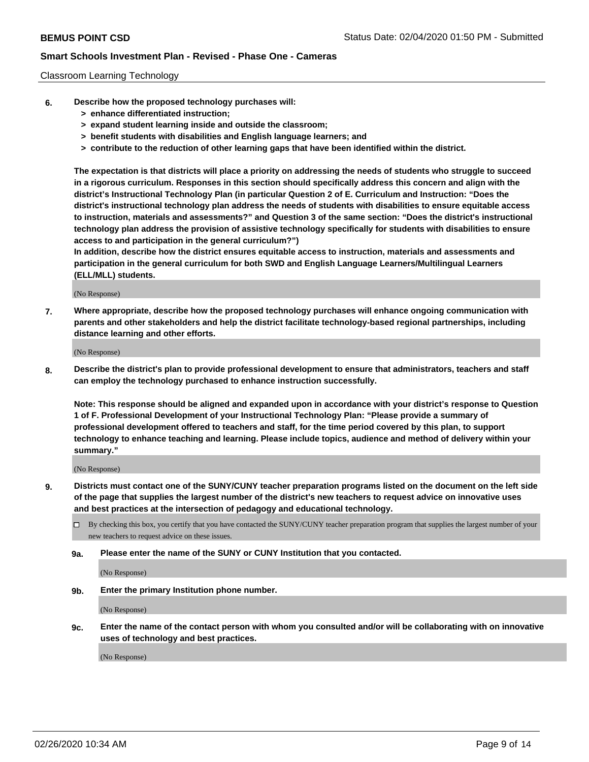### Classroom Learning Technology

- **6. Describe how the proposed technology purchases will:**
	- **> enhance differentiated instruction;**
	- **> expand student learning inside and outside the classroom;**
	- **> benefit students with disabilities and English language learners; and**
	- **> contribute to the reduction of other learning gaps that have been identified within the district.**

**The expectation is that districts will place a priority on addressing the needs of students who struggle to succeed in a rigorous curriculum. Responses in this section should specifically address this concern and align with the district's Instructional Technology Plan (in particular Question 2 of E. Curriculum and Instruction: "Does the district's instructional technology plan address the needs of students with disabilities to ensure equitable access to instruction, materials and assessments?" and Question 3 of the same section: "Does the district's instructional technology plan address the provision of assistive technology specifically for students with disabilities to ensure access to and participation in the general curriculum?")**

**In addition, describe how the district ensures equitable access to instruction, materials and assessments and participation in the general curriculum for both SWD and English Language Learners/Multilingual Learners (ELL/MLL) students.**

(No Response)

**7. Where appropriate, describe how the proposed technology purchases will enhance ongoing communication with parents and other stakeholders and help the district facilitate technology-based regional partnerships, including distance learning and other efforts.**

(No Response)

**8. Describe the district's plan to provide professional development to ensure that administrators, teachers and staff can employ the technology purchased to enhance instruction successfully.**

**Note: This response should be aligned and expanded upon in accordance with your district's response to Question 1 of F. Professional Development of your Instructional Technology Plan: "Please provide a summary of professional development offered to teachers and staff, for the time period covered by this plan, to support technology to enhance teaching and learning. Please include topics, audience and method of delivery within your summary."**

(No Response)

- **9. Districts must contact one of the SUNY/CUNY teacher preparation programs listed on the document on the left side of the page that supplies the largest number of the district's new teachers to request advice on innovative uses and best practices at the intersection of pedagogy and educational technology.**
	- By checking this box, you certify that you have contacted the SUNY/CUNY teacher preparation program that supplies the largest number of your new teachers to request advice on these issues.
	- **9a. Please enter the name of the SUNY or CUNY Institution that you contacted.**

(No Response)

**9b. Enter the primary Institution phone number.**

(No Response)

**9c. Enter the name of the contact person with whom you consulted and/or will be collaborating with on innovative uses of technology and best practices.**

(No Response)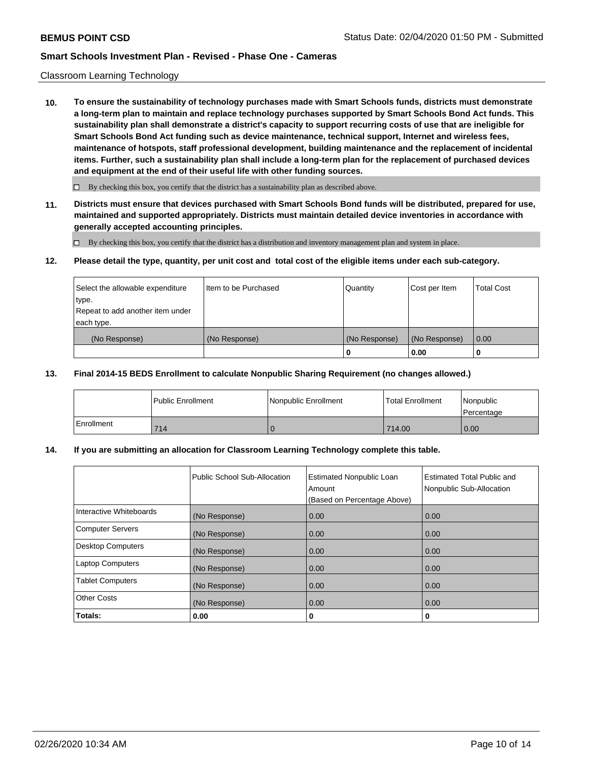### Classroom Learning Technology

**10. To ensure the sustainability of technology purchases made with Smart Schools funds, districts must demonstrate a long-term plan to maintain and replace technology purchases supported by Smart Schools Bond Act funds. This sustainability plan shall demonstrate a district's capacity to support recurring costs of use that are ineligible for Smart Schools Bond Act funding such as device maintenance, technical support, Internet and wireless fees, maintenance of hotspots, staff professional development, building maintenance and the replacement of incidental items. Further, such a sustainability plan shall include a long-term plan for the replacement of purchased devices and equipment at the end of their useful life with other funding sources.**

 $\Box$  By checking this box, you certify that the district has a sustainability plan as described above.

**11. Districts must ensure that devices purchased with Smart Schools Bond funds will be distributed, prepared for use, maintained and supported appropriately. Districts must maintain detailed device inventories in accordance with generally accepted accounting principles.**

By checking this box, you certify that the district has a distribution and inventory management plan and system in place.

#### **12. Please detail the type, quantity, per unit cost and total cost of the eligible items under each sub-category.**

| Select the allowable expenditure<br>type.<br>Repeat to add another item under | Item to be Purchased | Quantity      | Cost per Item | <b>Total Cost</b> |
|-------------------------------------------------------------------------------|----------------------|---------------|---------------|-------------------|
| each type.<br>(No Response)                                                   | (No Response)        | (No Response) | (No Response) | 0.00              |
|                                                                               |                      | 0             | 0.00          |                   |

### **13. Final 2014-15 BEDS Enrollment to calculate Nonpublic Sharing Requirement (no changes allowed.)**

|            | <b>Public Enrollment</b> | Nonpublic Enrollment | <b>Total Enrollment</b> | Nonpublic<br>l Percentage |
|------------|--------------------------|----------------------|-------------------------|---------------------------|
| Enrollment | 714                      |                      | 714.00                  | 0.00                      |

### **14. If you are submitting an allocation for Classroom Learning Technology complete this table.**

|                         | Public School Sub-Allocation | <b>Estimated Nonpublic Loan</b><br>Amount<br>(Based on Percentage Above) | <b>Estimated Total Public and</b><br>Nonpublic Sub-Allocation |
|-------------------------|------------------------------|--------------------------------------------------------------------------|---------------------------------------------------------------|
| Interactive Whiteboards | (No Response)                | 0.00                                                                     | 0.00                                                          |
| Computer Servers        | (No Response)                | 0.00                                                                     | 0.00                                                          |
| Desktop Computers       | (No Response)                | 0.00                                                                     | 0.00                                                          |
| <b>Laptop Computers</b> | (No Response)                | 0.00                                                                     | 0.00                                                          |
| <b>Tablet Computers</b> | (No Response)                | 0.00                                                                     | 0.00                                                          |
| Other Costs             | (No Response)                | 0.00                                                                     | 0.00                                                          |
| Totals:                 | 0.00                         | 0                                                                        | 0                                                             |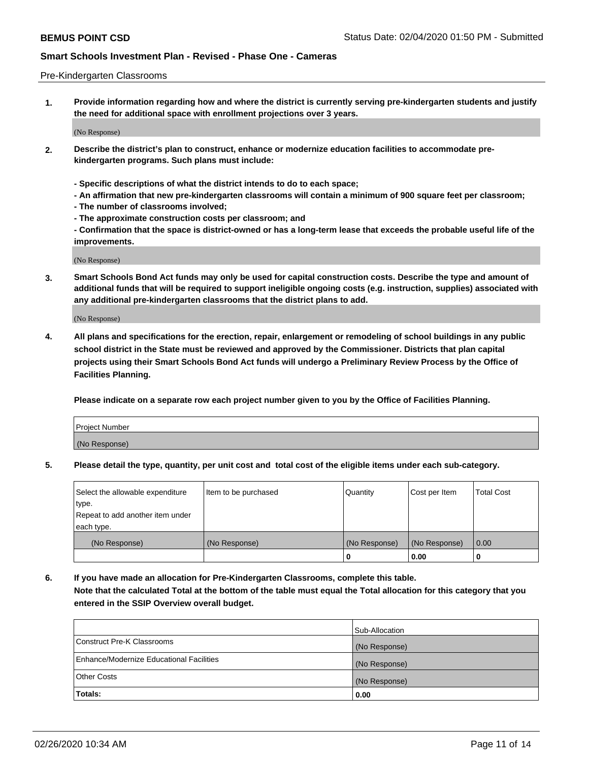#### Pre-Kindergarten Classrooms

**1. Provide information regarding how and where the district is currently serving pre-kindergarten students and justify the need for additional space with enrollment projections over 3 years.**

(No Response)

- **2. Describe the district's plan to construct, enhance or modernize education facilities to accommodate prekindergarten programs. Such plans must include:**
	- **Specific descriptions of what the district intends to do to each space;**
	- **An affirmation that new pre-kindergarten classrooms will contain a minimum of 900 square feet per classroom;**
	- **The number of classrooms involved;**
	- **The approximate construction costs per classroom; and**
	- **Confirmation that the space is district-owned or has a long-term lease that exceeds the probable useful life of the improvements.**

(No Response)

**3. Smart Schools Bond Act funds may only be used for capital construction costs. Describe the type and amount of additional funds that will be required to support ineligible ongoing costs (e.g. instruction, supplies) associated with any additional pre-kindergarten classrooms that the district plans to add.**

(No Response)

**4. All plans and specifications for the erection, repair, enlargement or remodeling of school buildings in any public school district in the State must be reviewed and approved by the Commissioner. Districts that plan capital projects using their Smart Schools Bond Act funds will undergo a Preliminary Review Process by the Office of Facilities Planning.**

**Please indicate on a separate row each project number given to you by the Office of Facilities Planning.**

| Project Number |  |
|----------------|--|
| (No Response)  |  |
|                |  |

**5. Please detail the type, quantity, per unit cost and total cost of the eligible items under each sub-category.**

| Select the allowable expenditure | Item to be purchased | Quantity      | Cost per Item | <b>Total Cost</b> |
|----------------------------------|----------------------|---------------|---------------|-------------------|
| type.                            |                      |               |               |                   |
| Repeat to add another item under |                      |               |               |                   |
| each type.                       |                      |               |               |                   |
| (No Response)                    | (No Response)        | (No Response) | (No Response) | 0.00              |
|                                  |                      | υ             | 0.00          |                   |

**6. If you have made an allocation for Pre-Kindergarten Classrooms, complete this table. Note that the calculated Total at the bottom of the table must equal the Total allocation for this category that you entered in the SSIP Overview overall budget.**

|                                          | Sub-Allocation |
|------------------------------------------|----------------|
| Construct Pre-K Classrooms               | (No Response)  |
| Enhance/Modernize Educational Facilities | (No Response)  |
| <b>Other Costs</b>                       | (No Response)  |
| Totals:                                  | 0.00           |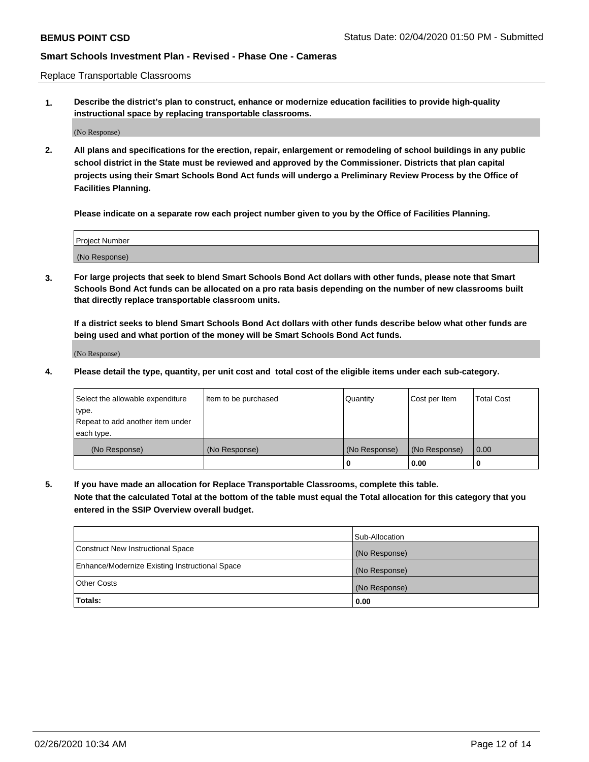Replace Transportable Classrooms

**1. Describe the district's plan to construct, enhance or modernize education facilities to provide high-quality instructional space by replacing transportable classrooms.**

(No Response)

**2. All plans and specifications for the erection, repair, enlargement or remodeling of school buildings in any public school district in the State must be reviewed and approved by the Commissioner. Districts that plan capital projects using their Smart Schools Bond Act funds will undergo a Preliminary Review Process by the Office of Facilities Planning.**

**Please indicate on a separate row each project number given to you by the Office of Facilities Planning.**

| Project Number |  |
|----------------|--|
|                |  |
|                |  |
|                |  |
|                |  |
| (No Response)  |  |
|                |  |
|                |  |
|                |  |

**3. For large projects that seek to blend Smart Schools Bond Act dollars with other funds, please note that Smart Schools Bond Act funds can be allocated on a pro rata basis depending on the number of new classrooms built that directly replace transportable classroom units.**

**If a district seeks to blend Smart Schools Bond Act dollars with other funds describe below what other funds are being used and what portion of the money will be Smart Schools Bond Act funds.**

(No Response)

**4. Please detail the type, quantity, per unit cost and total cost of the eligible items under each sub-category.**

| Select the allowable expenditure | Item to be purchased | Quantity      | Cost per Item | Total Cost |
|----------------------------------|----------------------|---------------|---------------|------------|
| ∣type.                           |                      |               |               |            |
| Repeat to add another item under |                      |               |               |            |
| each type.                       |                      |               |               |            |
| (No Response)                    | (No Response)        | (No Response) | (No Response) | 0.00       |
|                                  |                      | u             | 0.00          |            |

**5. If you have made an allocation for Replace Transportable Classrooms, complete this table. Note that the calculated Total at the bottom of the table must equal the Total allocation for this category that you entered in the SSIP Overview overall budget.**

|                                                | Sub-Allocation |
|------------------------------------------------|----------------|
| Construct New Instructional Space              | (No Response)  |
| Enhance/Modernize Existing Instructional Space | (No Response)  |
| Other Costs                                    | (No Response)  |
| Totals:                                        | 0.00           |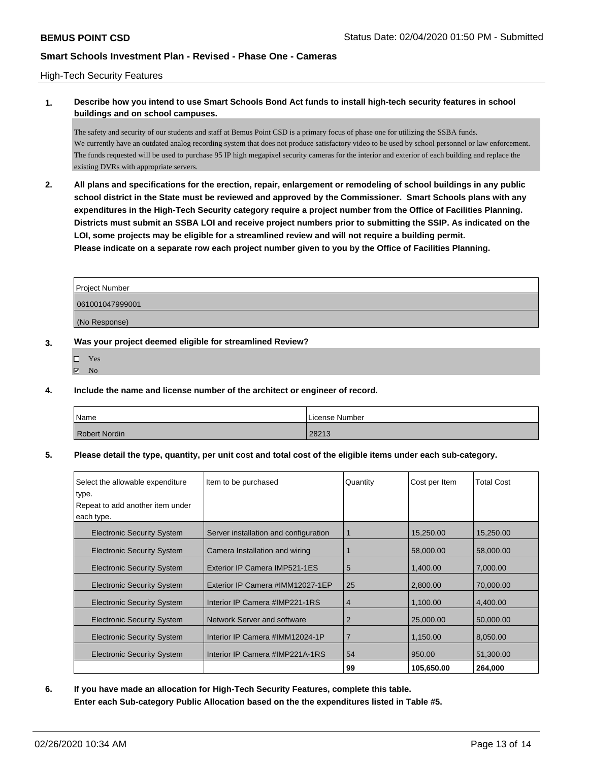### High-Tech Security Features

## **1. Describe how you intend to use Smart Schools Bond Act funds to install high-tech security features in school buildings and on school campuses.**

The safety and security of our students and staff at Bemus Point CSD is a primary focus of phase one for utilizing the SSBA funds. We currently have an outdated analog recording system that does not produce satisfactory video to be used by school personnel or law enforcement. The funds requested will be used to purchase 95 IP high megapixel security cameras for the interior and exterior of each building and replace the existing DVRs with appropriate servers.

**2. All plans and specifications for the erection, repair, enlargement or remodeling of school buildings in any public school district in the State must be reviewed and approved by the Commissioner. Smart Schools plans with any expenditures in the High-Tech Security category require a project number from the Office of Facilities Planning. Districts must submit an SSBA LOI and receive project numbers prior to submitting the SSIP. As indicated on the LOI, some projects may be eligible for a streamlined review and will not require a building permit. Please indicate on a separate row each project number given to you by the Office of Facilities Planning.**

| <b>Project Number</b> |
|-----------------------|
| 061001047999001       |
| (No Response)         |

### **3. Was your project deemed eligible for streamlined Review?**

- Yes  $\boxtimes$  No
- **4. Include the name and license number of the architect or engineer of record.**

| Name                 | License Number |  |
|----------------------|----------------|--|
| <b>Robert Nordin</b> | 28213          |  |

#### **5. Please detail the type, quantity, per unit cost and total cost of the eligible items under each sub-category.**

| Select the allowable expenditure  | Item to be purchased                  | Quantity       | Cost per Item | <b>Total Cost</b> |
|-----------------------------------|---------------------------------------|----------------|---------------|-------------------|
| type.                             |                                       |                |               |                   |
| Repeat to add another item under  |                                       |                |               |                   |
| each type.                        |                                       |                |               |                   |
| <b>Electronic Security System</b> | Server installation and configuration | 1              | 15,250.00     | 15,250.00         |
| <b>Electronic Security System</b> | Camera Installation and wiring        |                | 58,000.00     | 58,000.00         |
| <b>Electronic Security System</b> | Exterior IP Camera IMP521-1ES         | 5              | 1,400.00      | 7,000.00          |
| <b>Electronic Security System</b> | Exterior IP Camera #IMM12027-1EP      | 25             | 2,800.00      | 70,000.00         |
| <b>Electronic Security System</b> | Interior IP Camera #IMP221-1RS        | 4              | 1,100.00      | 4.400.00          |
| <b>Electronic Security System</b> | Network Server and software           | 2              | 25,000.00     | 50,000.00         |
| <b>Electronic Security System</b> | Interior IP Camera #IMM12024-1P       | $\overline{7}$ | 1,150.00      | 8,050.00          |
| <b>Electronic Security System</b> | Interior IP Camera #IMP221A-1RS       | 54             | 950.00        | 51,300.00         |
|                                   |                                       | 99             | 105,650.00    | 264,000           |

**6. If you have made an allocation for High-Tech Security Features, complete this table. Enter each Sub-category Public Allocation based on the the expenditures listed in Table #5.**